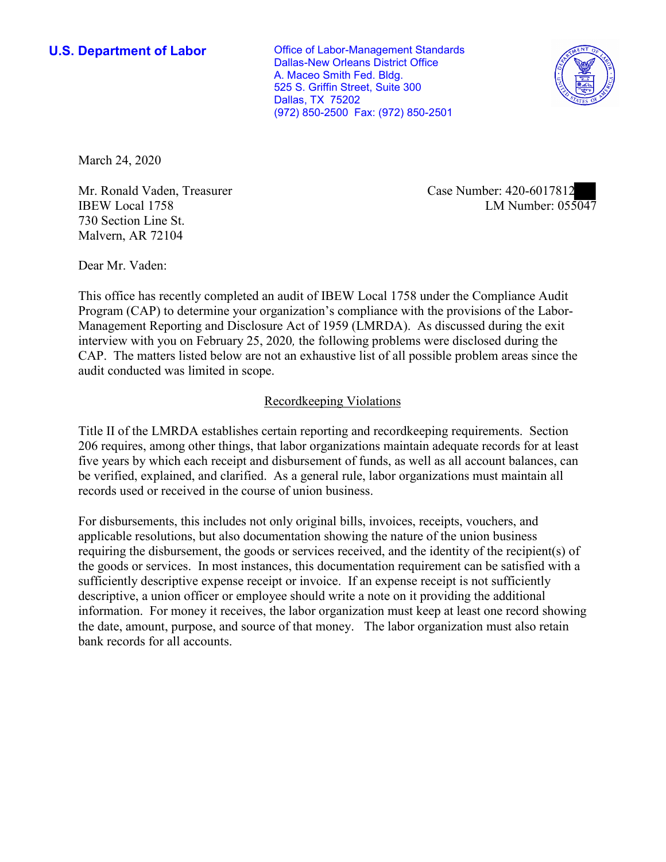**U.S. Department of Labor Conservative Conservative Conservative U.S. Department of Labor** Dallas-New Orleans District Office A. Maceo Smith Fed. Bldg. 525 S. Griffin Street, Suite 300 Dallas, TX 75202 (972) 850-2500 Fax: (972) 850-2501



March 24, 2020

Mr. Ronald Vaden, Treasurer Case Number: 420-6017812 730 Section Line St. Malvern, AR 72104

Mr. Ronald Vaden, Treasurer<br>IBEW Local 1758 LM Number: 055047

Dear Mr. Vaden:

 This office has recently completed an audit of IBEW Local 1758 under the Compliance Audit Program (CAP) to determine your organization's compliance with the provisions of the Labor-Management Reporting and Disclosure Act of 1959 (LMRDA). As discussed during the exit interview with you on February 25, 2020*,* the following problems were disclosed during the CAP. The matters listed below are not an exhaustive list of all possible problem areas since the audit conducted was limited in scope.

# Recordkeeping Violations

 Title II of the LMRDA establishes certain reporting and recordkeeping requirements. Section 206 requires, among other things, that labor organizations maintain adequate records for at least five years by which each receipt and disbursement of funds, as well as all account balances, can be verified, explained, and clarified. As a general rule, labor organizations must maintain all records used or received in the course of union business.

For disbursements, this includes not only original bills, invoices, receipts, vouchers, and applicable resolutions, but also documentation showing the nature of the union business requiring the disbursement, the goods or services received, and the identity of the recipient(s) of the goods or services. In most instances, this documentation requirement can be satisfied with a sufficiently descriptive expense receipt or invoice. If an expense receipt is not sufficiently descriptive, a union officer or employee should write a note on it providing the additional information. For money it receives, the labor organization must keep at least one record showing the date, amount, purpose, and source of that money. The labor organization must also retain bank records for all accounts.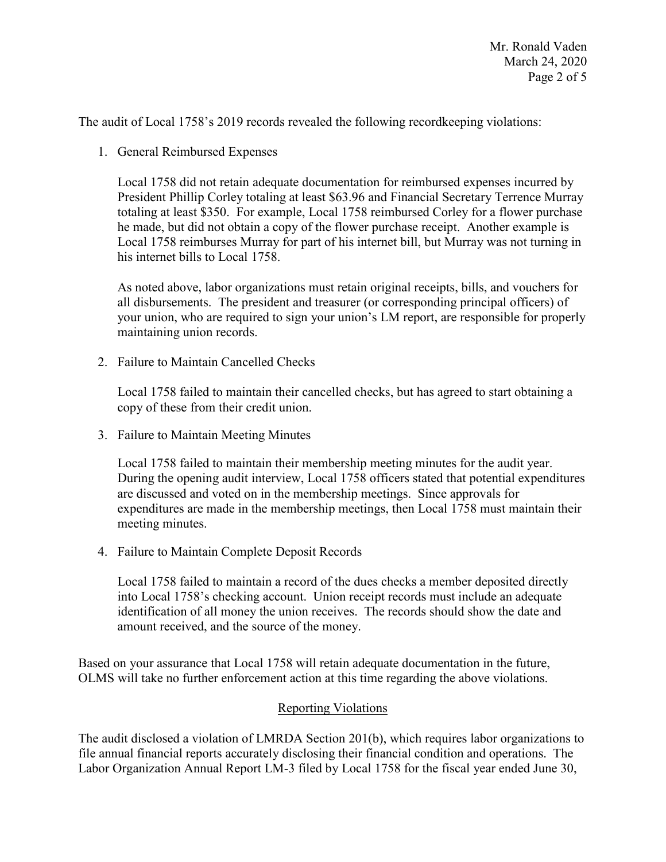The audit of Local 1758's 2019 records revealed the following recordkeeping violations:

1. General Reimbursed Expenses

 totaling at least \$350. For example, Local 1758 reimbursed Corley for a flower purchase Local 1758 did not retain adequate documentation for reimbursed expenses incurred by President Phillip Corley totaling at least \$63.96 and Financial Secretary Terrence Murray he made, but did not obtain a copy of the flower purchase receipt. Another example is Local 1758 reimburses Murray for part of his internet bill, but Murray was not turning in his internet bills to Local 1758.

 all disbursements. The president and treasurer (or corresponding principal officers) of As noted above, labor organizations must retain original receipts, bills, and vouchers for your union, who are required to sign your union's LM report, are responsible for properly maintaining union records.

2. Failure to Maintain Cancelled Checks

 copy of these from their credit union. Local 1758 failed to maintain their cancelled checks, but has agreed to start obtaining a

3. Failure to Maintain Meeting Minutes

Local 1758 failed to maintain their membership meeting minutes for the audit year. During the opening audit interview, Local 1758 officers stated that potential expenditures are discussed and voted on in the membership meetings. Since approvals for expenditures are made in the membership meetings, then Local 1758 must maintain their meeting minutes.

4. Failure to Maintain Complete Deposit Records

 Local 1758 failed to maintain a record of the dues checks a member deposited directly into Local 1758's checking account. Union receipt records must include an adequate identification of all money the union receives. The records should show the date and amount received, and the source of the money.

 Based on your assurance that Local 1758 will retain adequate documentation in the future, OLMS will take no further enforcement action at this time regarding the above violations.

# Reporting Violations

 Labor Organization Annual Report LM-3 filed by Local 1758 for the fiscal year ended June 30, The audit disclosed a violation of LMRDA Section 201(b), which requires labor organizations to file annual financial reports accurately disclosing their financial condition and operations. The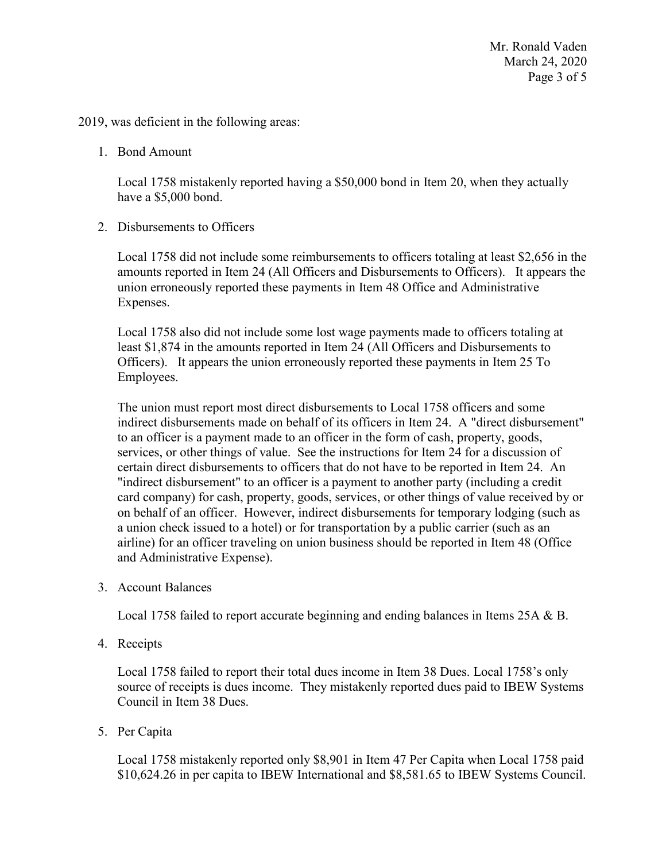Page 3 of 5 Mr. Ronald Vaden March 24, 2020

### 2019, was deficient in the following areas:

1. Bond Amount

 Local 1758 mistakenly reported having a \$50,000 bond in Item 20, when they actually have a \$5,000 bond.

2. Disbursements to Officers

 Local 1758 did not include some reimbursements to officers totaling at least \$2,656 in the amounts reported in Item 24 (All Officers and Disbursements to Officers). It appears the union erroneously reported these payments in Item 48 Office and Administrative Expenses.

Employees. Local 1758 also did not include some lost wage payments made to officers totaling at least \$1,874 in the amounts reported in Item 24 (All Officers and Disbursements to Officers). It appears the union erroneously reported these payments in Item 25 To

 services, or other things of value. See the instructions for Item 24 for a discussion of "indirect disbursement" to an officer is a payment to another party (including a credit a union check issued to a hotel) or for transportation by a public carrier (such as an The union must report most direct disbursements to Local 1758 officers and some indirect disbursements made on behalf of its officers in Item 24. A "direct disbursement" to an officer is a payment made to an officer in the form of cash, property, goods, certain direct disbursements to officers that do not have to be reported in Item 24. An card company) for cash, property, goods, services, or other things of value received by or on behalf of an officer. However, indirect disbursements for temporary lodging (such as airline) for an officer traveling on union business should be reported in Item 48 (Office and Administrative Expense).

3. Account Balances

Local 1758 failed to report accurate beginning and ending balances in Items 25A & B.

4. Receipts

 source of receipts is dues income. They mistakenly reported dues paid to IBEW Systems Council in Item 38 Dues. 5. Per Capita Local 1758 failed to report their total dues income in Item 38 Dues. Local 1758's only

Local 1758 mistakenly reported only \$8,901 in Item 47 Per Capita when Local 1758 paid \$[10,624.26](https://10,624.26) in per capita to IBEW International and \$[8,581.65](https://8,581.65) to IBEW Systems Council.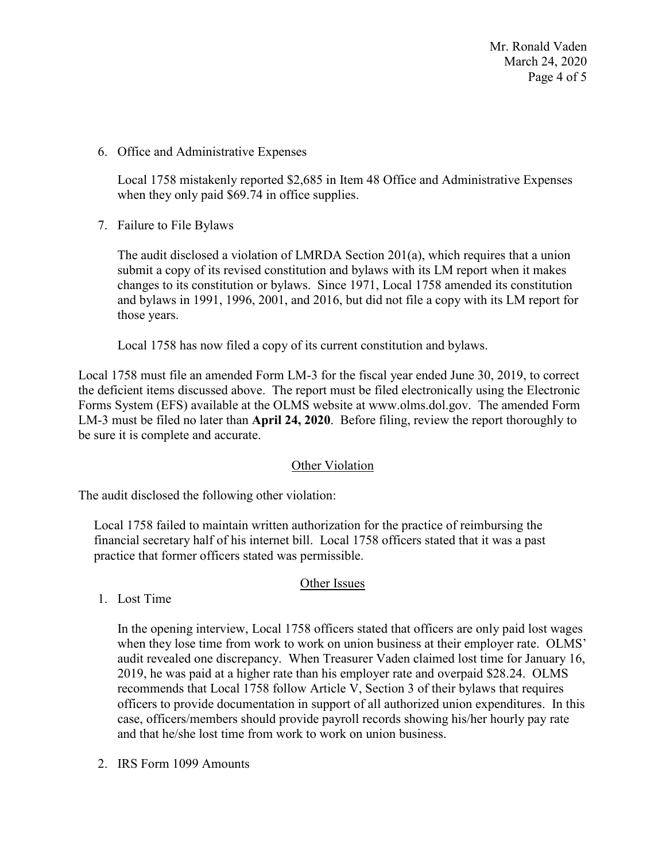Page 4 of 5 Mr. Ronald Vaden March 24, 2020

6. Office and Administrative Expenses

Local 1758 mistakenly reported \$2,685 in Item 48 Office and Administrative Expenses when they only paid \$69.74 in office supplies.

7. Failure to File Bylaws

 changes to its constitution or bylaws. Since 1971, Local 1758 amended its constitution those years. The audit disclosed a violation of LMRDA Section 201(a), which requires that a union submit a copy of its revised constitution and bylaws with its LM report when it makes and bylaws in 1991, 1996, 2001, and 2016, but did not file a copy with its LM report for

Local 1758 has now filed a copy of its current constitution and bylaws.

be sure it is complete and accurate.<br>Other Violation Local 1758 must file an amended Form LM-3 for the fiscal year ended June 30, 2019, to correct the deficient items discussed above. The report must be filed electronically using the Electronic Forms System (EFS) available at the OLMS website at [www.olms.dol.gov.](www.olms.dol.gov) The amended Form LM-3 must be filed no later than **April 24, 2020**. Before filing, review the report thoroughly to

The audit disclosed the following other violation:

Local 1758 failed to maintain written authorization for the practice of reimbursing the financial secretary half of his internet bill. Local 1758 officers stated that it was a past practice that former officers stated was permissible.

## Other Issues

1. Lost Time

 case, officers/members should provide payroll records showing his/her hourly pay rate In the opening interview, Local 1758 officers stated that officers are only paid lost wages when they lose time from work to work on union business at their employer rate. OLMS' audit revealed one discrepancy. When Treasurer Vaden claimed lost time for January 16, 2019, he was paid at a higher rate than his employer rate and overpaid \$28.24. OLMS recommends that Local 1758 follow Article V, Section 3 of their bylaws that requires officers to provide documentation in support of all authorized union expenditures. In this and that he/she lost time from work to work on union business.

2. IRS Form 1099 Amounts